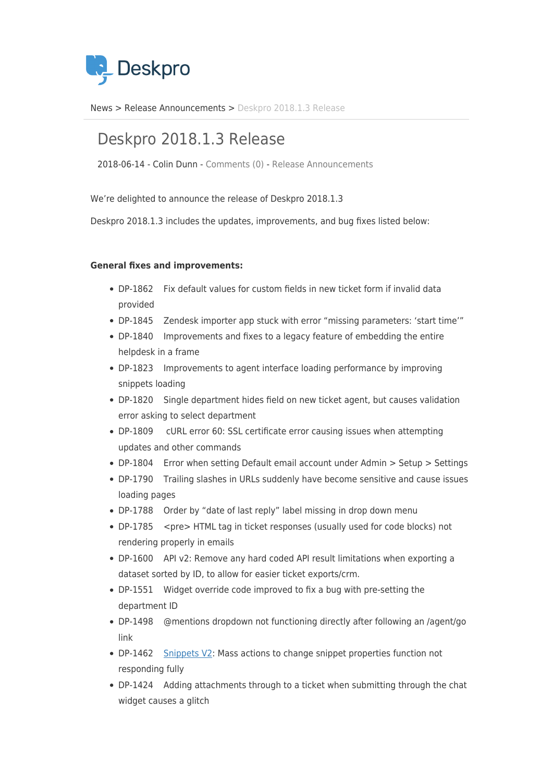

[News](https://support.deskpro.com/vi/news) > [Release Announcements](https://support.deskpro.com/vi/news/release-announcements) > [Deskpro 2018.1.3 Release](https://support.deskpro.com/vi/news/posts/deskpro-2018-1-3-release)

## Deskpro 2018.1.3 Release

2018-06-14 - Colin Dunn - [Comments \(0\)](#page--1-0) - [Release Announcements](https://support.deskpro.com/vi/news/release-announcements)

We're delighted to announce the release of Deskpro 2018.1.3

Deskpro 2018.1.3 includes the updates, improvements, and bug fixes listed below:

## **General fixes and improvements:**

- DP-1862 Fix default values for custom fields in new ticket form if invalid data provided
- DP-1845 Zendesk importer app stuck with error "missing parameters: 'start time'"
- DP-1840 Improvements and fixes to a legacy feature of embedding the entire helpdesk in a frame
- DP-1823 Improvements to agent interface loading performance by improving snippets loading
- DP-1820 Single department hides field on new ticket agent, but causes validation error asking to select department
- DP-1809 cURL error 60: SSL certificate error causing issues when attempting updates and other commands
- DP-1804 Error when setting Default email account under Admin > Setup > Settings
- DP-1790 Trailing slashes in URLs suddenly have become sensitive and cause issues loading pages
- DP-1788 Order by "date of last reply" label missing in drop down menu
- DP-1785 <pre> HTML tag in ticket responses (usually used for code blocks) not rendering properly in emails
- DP-1600 API v2: Remove any hard coded API result limitations when exporting a dataset sorted by ID, to allow for easier ticket exports/crm.
- DP-1551 Widget override code improved to fix a bug with pre-setting the department ID
- DP-1498 @mentions dropdown not functioning directly after following an /agent/go link
- DP-1462 [Snippets V2:](https://support.deskpro.com/en/news/posts/new-snippets-interface) Mass actions to change snippet properties function not responding fully
- DP-1424 Adding attachments through to a ticket when submitting through the chat widget causes a glitch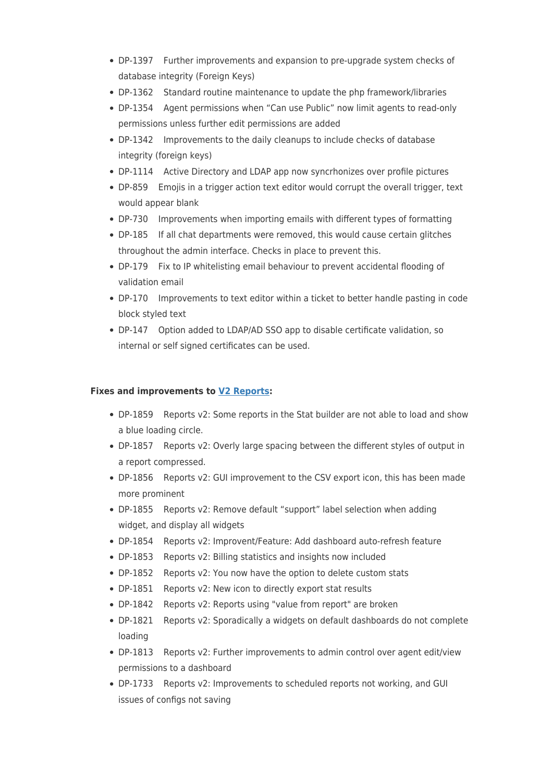- DP-1397 Further improvements and expansion to pre-upgrade system checks of database integrity (Foreign Keys)
- DP-1362 Standard routine maintenance to update the php framework/libraries
- DP-1354 Agent permissions when "Can use Public" now limit agents to read-only permissions unless further edit permissions are added
- DP-1342 Improvements to the daily cleanups to include checks of database integrity (foreign keys)
- DP-1114 Active Directory and LDAP app now syncrhonizes over profile pictures
- DP-859 Emojis in a trigger action text editor would corrupt the overall trigger, text would appear blank
- DP-730 Improvements when importing emails with different types of formatting
- DP-185 If all chat departments were removed, this would cause certain glitches throughout the admin interface. Checks in place to prevent this.
- DP-179 Fix to IP whitelisting email behaviour to prevent accidental flooding of validation email
- DP-170 Improvements to text editor within a ticket to better handle pasting in code block styled text
- DP-147 Option added to LDAP/AD SSO app to disable certificate validation, so internal or self signed certificates can be used.

## **Fixes and improvements to [V2 Reports](https://support.deskpro.com/en/news/posts/new-reports):**

- DP-1859 Reports v2: Some reports in the Stat builder are not able to load and show a blue loading circle.
- DP-1857 Reports v2: Overly large spacing between the different styles of output in a report compressed.
- DP-1856 Reports v2: GUI improvement to the CSV export icon, this has been made more prominent
- DP-1855 Reports v2: Remove default "support" label selection when adding widget, and display all widgets
- DP-1854 Reports v2: Improvent/Feature: Add dashboard auto-refresh feature
- DP-1853 Reports v2: Billing statistics and insights now included
- DP-1852 Reports v2: You now have the option to delete custom stats
- DP-1851 Reports v2: New icon to directly export stat results
- DP-1842 Reports v2: Reports using "value from report" are broken
- DP-1821 Reports v2: Sporadically a widgets on default dashboards do not complete loading
- DP-1813 Reports v2: Further improvements to admin control over agent edit/view permissions to a dashboard
- DP-1733 Reports v2: Improvements to scheduled reports not working, and GUI issues of configs not saving